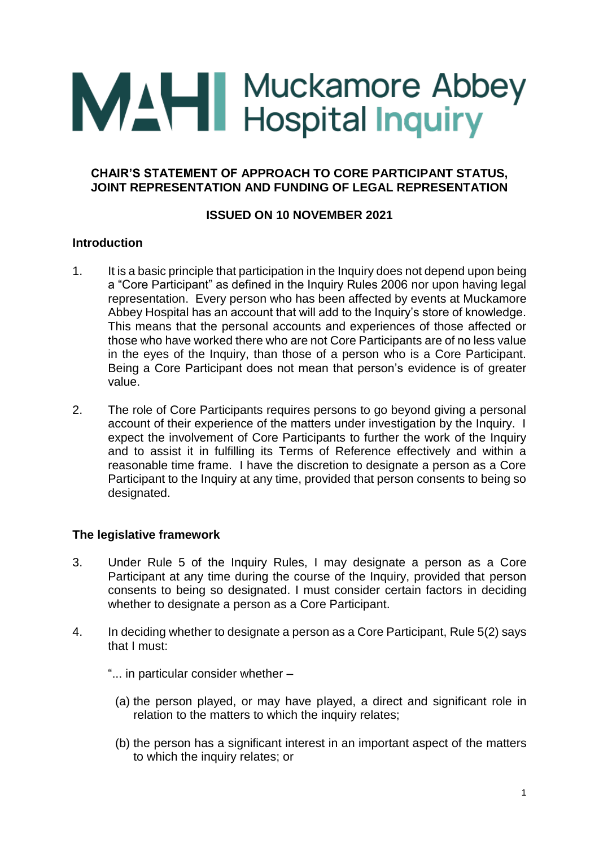# **MAH** Muckamore Abbey<br>
Hospital Inquiry

# **CHAIR'S STATEMENT OF APPROACH TO CORE PARTICIPANT STATUS, JOINT REPRESENTATION AND FUNDING OF LEGAL REPRESENTATION**

# **ISSUED ON 10 NOVEMBER 2021**

# **Introduction**

- 1. It is a basic principle that participation in the Inquiry does not depend upon being a "Core Participant" as defined in the Inquiry Rules 2006 nor upon having legal representation. Every person who has been affected by events at Muckamore Abbey Hospital has an account that will add to the Inquiry's store of knowledge. This means that the personal accounts and experiences of those affected or those who have worked there who are not Core Participants are of no less value in the eyes of the Inquiry, than those of a person who is a Core Participant. Being a Core Participant does not mean that person's evidence is of greater value.
- 2. The role of Core Participants requires persons to go beyond giving a personal account of their experience of the matters under investigation by the Inquiry. I expect the involvement of Core Participants to further the work of the Inquiry and to assist it in fulfilling its Terms of Reference effectively and within a reasonable time frame. I have the discretion to designate a person as a Core Participant to the Inquiry at any time, provided that person consents to being so designated.

# **The legislative framework**

- 3. Under Rule 5 of the Inquiry Rules, I may designate a person as a Core Participant at any time during the course of the Inquiry, provided that person consents to being so designated. I must consider certain factors in deciding whether to designate a person as a Core Participant.
- 4. In deciding whether to designate a person as a Core Participant, Rule 5(2) says that I must:
	- "... in particular consider whether
		- (a) the person played, or may have played, a direct and significant role in relation to the matters to which the inquiry relates;
		- (b) the person has a significant interest in an important aspect of the matters to which the inquiry relates; or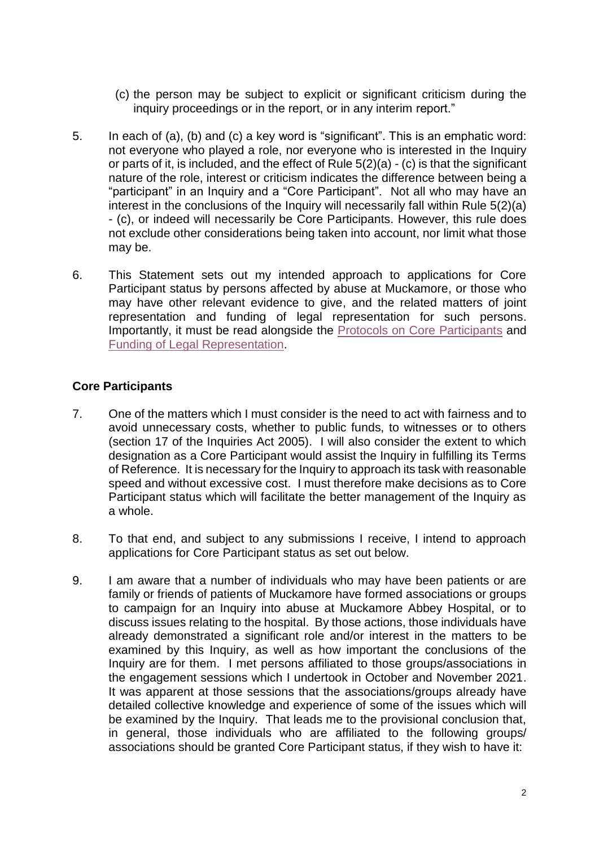- (c) the person may be subject to explicit or significant criticism during the inquiry proceedings or in the report, or in any interim report."
- 5. In each of (a), (b) and (c) a key word is "significant". This is an emphatic word: not everyone who played a role, nor everyone who is interested in the Inquiry or parts of it, is included, and the effect of Rule 5(2)(a) - (c) is that the significant nature of the role, interest or criticism indicates the difference between being a "participant" in an Inquiry and a "Core Participant". Not all who may have an interest in the conclusions of the Inquiry will necessarily fall within Rule 5(2)(a) - (c), or indeed will necessarily be Core Participants. However, this rule does not exclude other considerations being taken into account, nor limit what those may be.
- 6. This Statement sets out my intended approach to applications for Core Participant status by persons affected by abuse at Muckamore, or those who may have other relevant evidence to give, and the related matters of joint representation and funding of legal representation for such persons. Importantly, it must be read alongside the [Protocols on Core Participants](https://www.mahinquiry.org.uk/files/mahinquiry/documents/2021-11/protocol-no2-core-participants-v1.pdf) and [Funding of Legal Representation.](https://www.mahinquiry.org.uk/files/mahinquiry/documents/2021-11/protocol-no3-legal-representation-v1.pdf)

# **Core Participants**

- 7. One of the matters which I must consider is the need to act with fairness and to avoid unnecessary costs, whether to public funds, to witnesses or to others (section 17 of the Inquiries Act 2005). I will also consider the extent to which designation as a Core Participant would assist the Inquiry in fulfilling its Terms of Reference. It is necessary for the Inquiry to approach its task with reasonable speed and without excessive cost. I must therefore make decisions as to Core Participant status which will facilitate the better management of the Inquiry as a whole.
- 8. To that end, and subject to any submissions I receive, I intend to approach applications for Core Participant status as set out below.
- 9. I am aware that a number of individuals who may have been patients or are family or friends of patients of Muckamore have formed associations or groups to campaign for an Inquiry into abuse at Muckamore Abbey Hospital, or to discuss issues relating to the hospital. By those actions, those individuals have already demonstrated a significant role and/or interest in the matters to be examined by this Inquiry, as well as how important the conclusions of the Inquiry are for them. I met persons affiliated to those groups/associations in the engagement sessions which I undertook in October and November 2021. It was apparent at those sessions that the associations/groups already have detailed collective knowledge and experience of some of the issues which will be examined by the Inquiry. That leads me to the provisional conclusion that, in general, those individuals who are affiliated to the following groups/ associations should be granted Core Participant status, if they wish to have it: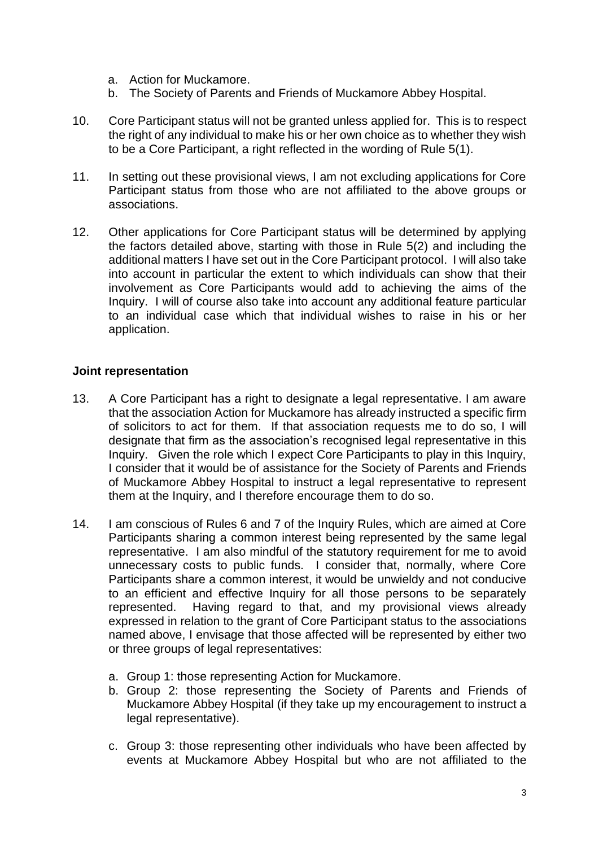- a. Action for Muckamore.
- b. The Society of Parents and Friends of Muckamore Abbey Hospital.
- 10. Core Participant status will not be granted unless applied for. This is to respect the right of any individual to make his or her own choice as to whether they wish to be a Core Participant, a right reflected in the wording of Rule 5(1).
- 11. In setting out these provisional views, I am not excluding applications for Core Participant status from those who are not affiliated to the above groups or associations.
- 12. Other applications for Core Participant status will be determined by applying the factors detailed above, starting with those in Rule 5(2) and including the additional matters I have set out in the Core Participant protocol. I will also take into account in particular the extent to which individuals can show that their involvement as Core Participants would add to achieving the aims of the Inquiry. I will of course also take into account any additional feature particular to an individual case which that individual wishes to raise in his or her application.

#### **Joint representation**

- 13. A Core Participant has a right to designate a legal representative. I am aware that the association Action for Muckamore has already instructed a specific firm of solicitors to act for them. If that association requests me to do so, I will designate that firm as the association's recognised legal representative in this Inquiry. Given the role which I expect Core Participants to play in this Inquiry, I consider that it would be of assistance for the Society of Parents and Friends of Muckamore Abbey Hospital to instruct a legal representative to represent them at the Inquiry, and I therefore encourage them to do so.
- 14. I am conscious of Rules 6 and 7 of the Inquiry Rules, which are aimed at Core Participants sharing a common interest being represented by the same legal representative. I am also mindful of the statutory requirement for me to avoid unnecessary costs to public funds. I consider that, normally, where Core Participants share a common interest, it would be unwieldy and not conducive to an efficient and effective Inquiry for all those persons to be separately represented. Having regard to that, and my provisional views already expressed in relation to the grant of Core Participant status to the associations named above, I envisage that those affected will be represented by either two or three groups of legal representatives:
	- a. Group 1: those representing Action for Muckamore.
	- b. Group 2: those representing the Society of Parents and Friends of Muckamore Abbey Hospital (if they take up my encouragement to instruct a legal representative).
	- c. Group 3: those representing other individuals who have been affected by events at Muckamore Abbey Hospital but who are not affiliated to the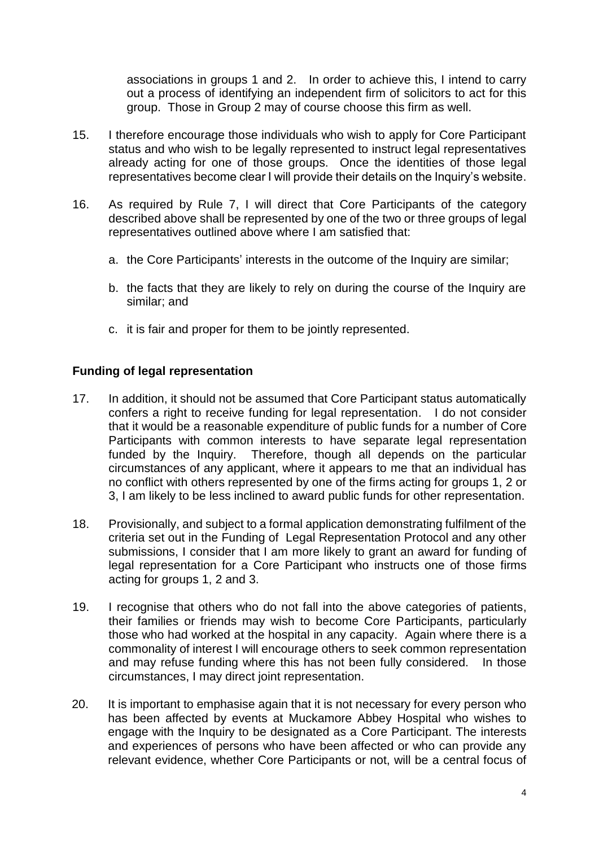associations in groups 1 and 2. In order to achieve this, I intend to carry out a process of identifying an independent firm of solicitors to act for this group. Those in Group 2 may of course choose this firm as well.

- 15. I therefore encourage those individuals who wish to apply for Core Participant status and who wish to be legally represented to instruct legal representatives already acting for one of those groups. Once the identities of those legal representatives become clear I will provide their details on the Inquiry's website.
- 16. As required by Rule 7, I will direct that Core Participants of the category described above shall be represented by one of the two or three groups of legal representatives outlined above where I am satisfied that:
	- a. the Core Participants' interests in the outcome of the Inquiry are similar;
	- b. the facts that they are likely to rely on during the course of the Inquiry are similar; and
	- c. it is fair and proper for them to be jointly represented.

#### **Funding of legal representation**

- 17. In addition, it should not be assumed that Core Participant status automatically confers a right to receive funding for legal representation. I do not consider that it would be a reasonable expenditure of public funds for a number of Core Participants with common interests to have separate legal representation funded by the Inquiry. Therefore, though all depends on the particular circumstances of any applicant, where it appears to me that an individual has no conflict with others represented by one of the firms acting for groups 1, 2 or 3, I am likely to be less inclined to award public funds for other representation.
- 18. Provisionally, and subject to a formal application demonstrating fulfilment of the criteria set out in the Funding of Legal Representation Protocol and any other submissions, I consider that I am more likely to grant an award for funding of legal representation for a Core Participant who instructs one of those firms acting for groups 1, 2 and 3.
- 19. I recognise that others who do not fall into the above categories of patients, their families or friends may wish to become Core Participants, particularly those who had worked at the hospital in any capacity. Again where there is a commonality of interest I will encourage others to seek common representation and may refuse funding where this has not been fully considered. In those circumstances, I may direct joint representation.
- 20. It is important to emphasise again that it is not necessary for every person who has been affected by events at Muckamore Abbey Hospital who wishes to engage with the Inquiry to be designated as a Core Participant. The interests and experiences of persons who have been affected or who can provide any relevant evidence, whether Core Participants or not, will be a central focus of